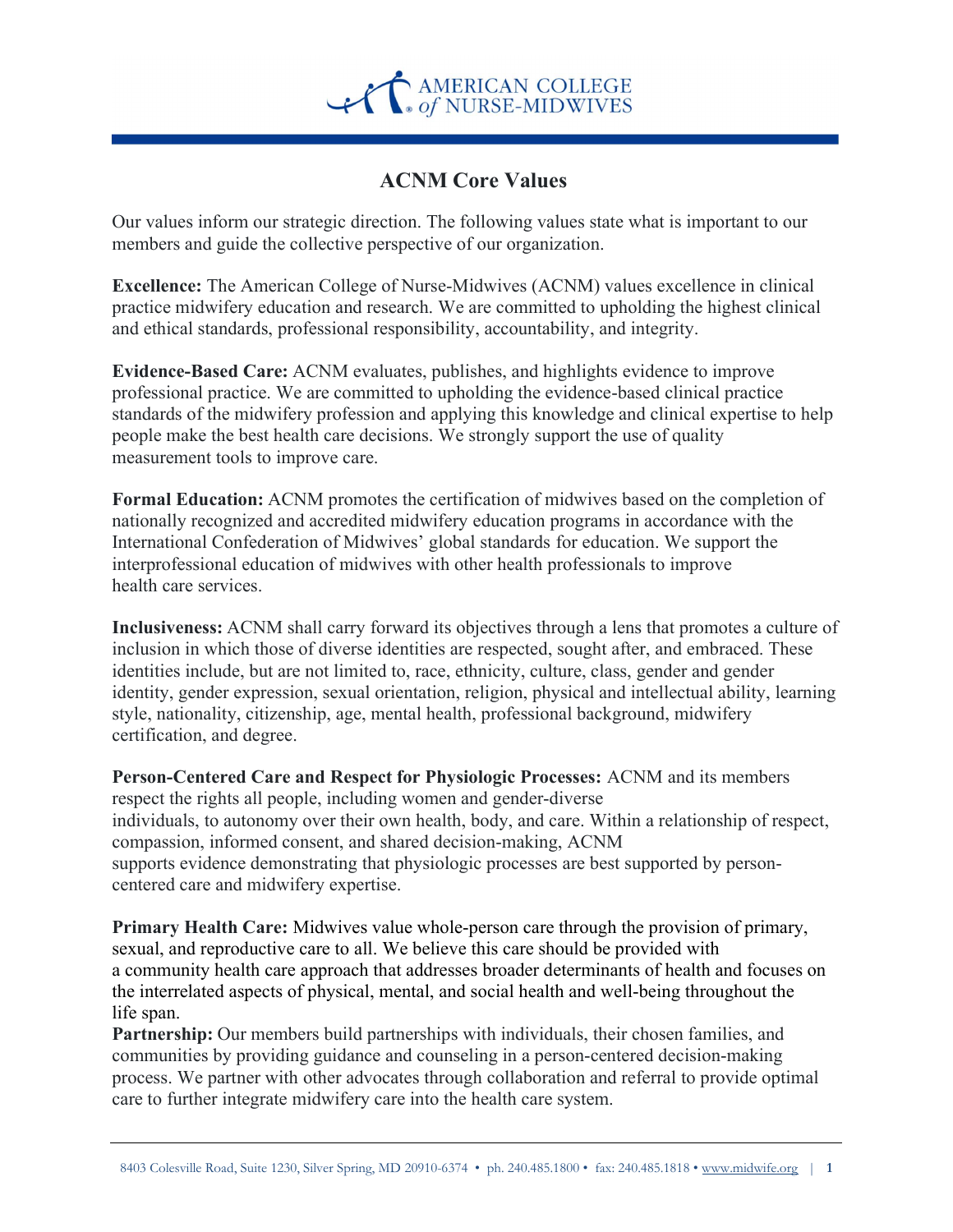

## ACNM Core Values

Our values inform our strategic direction. The following values state what is important to our members and guide the collective perspective of our organization.

Excellence: The American College of Nurse-Midwives (ACNM) values excellence in clinical practice midwifery education and research. We are committed to upholding the highest clinical and ethical standards, professional responsibility, accountability, and integrity.

Evidence-Based Care: ACNM evaluates, publishes, and highlights evidence to improve professional practice. We are committed to upholding the evidence-based clinical practice standards of the midwifery profession and applying this knowledge and clinical expertise to help people make the best health care decisions. We strongly support the use of quality measurement tools to improve care.

Formal Education: ACNM promotes the certification of midwives based on the completion of nationally recognized and accredited midwifery education programs in accordance with the International Confederation of Midwives' global standards for education. We support the interprofessional education of midwives with other health professionals to improve health care services.

Inclusiveness: ACNM shall carry forward its objectives through a lens that promotes a culture of inclusion in which those of diverse identities are respected, sought after, and embraced. These identities include, but are not limited to, race, ethnicity, culture, class, gender and gender identity, gender expression, sexual orientation, religion, physical and intellectual ability, learning style, nationality, citizenship, age, mental health, professional background, midwifery certification, and degree.

Person-Centered Care and Respect for Physiologic Processes: ACNM and its members respect the rights all people, including women and gender-diverse individuals, to autonomy over their own health, body, and care. Within a relationship of respect, compassion, informed consent, and shared decision-making, ACNM supports evidence demonstrating that physiologic processes are best supported by personcentered care and midwifery expertise.

Primary Health Care: Midwives value whole-person care through the provision of primary, sexual, and reproductive care to all. We believe this care should be provided with a community health care approach that addresses broader determinants of health and focuses on the interrelated aspects of physical, mental, and social health and well-being throughout the life span.

Partnership: Our members build partnerships with individuals, their chosen families, and communities by providing guidance and counseling in a person-centered decision-making process. We partner with other advocates through collaboration and referral to provide optimal care to further integrate midwifery care into the health care system.